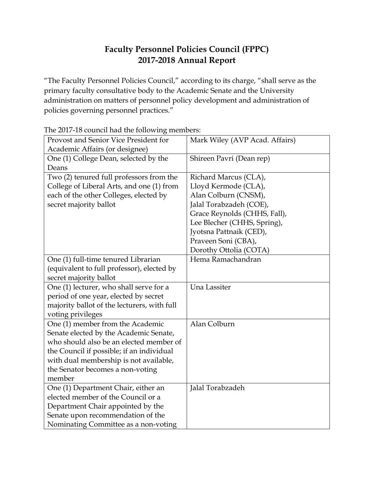## **Faculty Personnel Policies Council (FPPC) 2017-2018 Annual Report**

"The Faculty Personnel Policies Council," according to its charge, "shall serve as the primary faculty consultative body to the Academic Senate and the University administration on matters of personnel policy development and administration of policies governing personnel practices."

| Provost and Senior Vice President for       | Mark Wiley (AVP Acad. Affairs) |
|---------------------------------------------|--------------------------------|
| Academic Affairs (or designee)              |                                |
| One (1) College Dean, selected by the       | Shireen Pavri (Dean rep)       |
| Deans                                       |                                |
| Two (2) tenured full professors from the    | Richard Marcus (CLA),          |
| College of Liberal Arts, and one (1) from   | Lloyd Kermode (CLA),           |
| each of the other Colleges, elected by      | Alan Colburn (CNSM),           |
| secret majority ballot                      | Jalal Torabzadeh (COE),        |
|                                             | Grace Reynolds (CHHS, Fall),   |
|                                             | Lee Blecher (CHHS, Spring),    |
|                                             | Jyotsna Pattnaik (CED),        |
|                                             | Praveen Soni (CBA),            |
|                                             | Dorothy Ottolia (COTA)         |
| One (1) full-time tenured Librarian         | Hema Ramachandran              |
| (equivalent to full professor), elected by  |                                |
| secret majority ballot                      |                                |
| One (1) lecturer, who shall serve for a     | Una Lassiter                   |
| period of one year, elected by secret       |                                |
| majority ballot of the lecturers, with full |                                |
| voting privileges                           |                                |
| One (1) member from the Academic            | Alan Colburn                   |
| Senate elected by the Academic Senate,      |                                |
| who should also be an elected member of     |                                |
| the Council if possible; if an individual   |                                |
| with dual membership is not available,      |                                |
| the Senator becomes a non-voting            |                                |
| member                                      |                                |
| One (1) Department Chair, either an         | Jalal Torabzadeh               |
| elected member of the Council or a          |                                |
| Department Chair appointed by the           |                                |
| Senate upon recommendation of the           |                                |
| Nominating Committee as a non-voting        |                                |

The 2017-18 council had the following members: